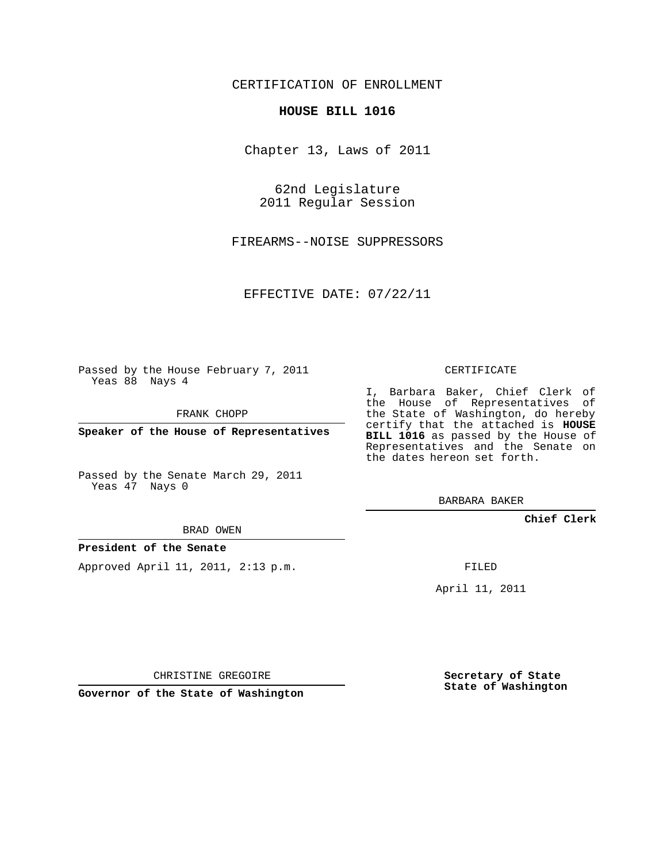## CERTIFICATION OF ENROLLMENT

#### **HOUSE BILL 1016**

Chapter 13, Laws of 2011

62nd Legislature 2011 Regular Session

FIREARMS--NOISE SUPPRESSORS

EFFECTIVE DATE: 07/22/11

Passed by the House February 7, 2011 Yeas 88 Nays 4

FRANK CHOPP

**Speaker of the House of Representatives**

Passed by the Senate March 29, 2011 Yeas 47 Nays 0

CERTIFICATE

I, Barbara Baker, Chief Clerk of the House of Representatives of the State of Washington, do hereby certify that the attached is **HOUSE BILL 1016** as passed by the House of Representatives and the Senate on the dates hereon set forth.

BARBARA BAKER

**Chief Clerk**

BRAD OWEN

### **President of the Senate**

Approved April 11, 2011, 2:13 p.m.

FILED

April 11, 2011

CHRISTINE GREGOIRE

**Governor of the State of Washington**

**Secretary of State State of Washington**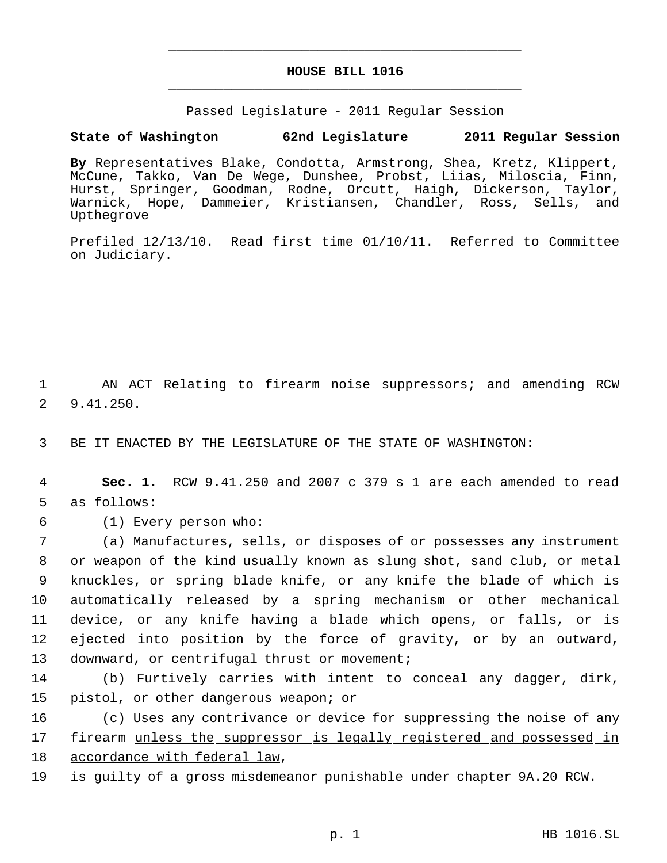# **HOUSE BILL 1016** \_\_\_\_\_\_\_\_\_\_\_\_\_\_\_\_\_\_\_\_\_\_\_\_\_\_\_\_\_\_\_\_\_\_\_\_\_\_\_\_\_\_\_\_\_

\_\_\_\_\_\_\_\_\_\_\_\_\_\_\_\_\_\_\_\_\_\_\_\_\_\_\_\_\_\_\_\_\_\_\_\_\_\_\_\_\_\_\_\_\_

Passed Legislature - 2011 Regular Session

## **State of Washington 62nd Legislature 2011 Regular Session**

**By** Representatives Blake, Condotta, Armstrong, Shea, Kretz, Klippert, McCune, Takko, Van De Wege, Dunshee, Probst, Liias, Miloscia, Finn, Hurst, Springer, Goodman, Rodne, Orcutt, Haigh, Dickerson, Taylor, Warnick, Hope, Dammeier, Kristiansen, Chandler, Ross, Sells, and Upthegrove

Prefiled 12/13/10. Read first time 01/10/11. Referred to Committee on Judiciary.

 1 AN ACT Relating to firearm noise suppressors; and amending RCW 2 9.41.250.

3 BE IT ENACTED BY THE LEGISLATURE OF THE STATE OF WASHINGTON:

 4 **Sec. 1.** RCW 9.41.250 and 2007 c 379 s 1 are each amended to read 5 as follows:

6 (1) Every person who:

 (a) Manufactures, sells, or disposes of or possesses any instrument or weapon of the kind usually known as slung shot, sand club, or metal knuckles, or spring blade knife, or any knife the blade of which is automatically released by a spring mechanism or other mechanical device, or any knife having a blade which opens, or falls, or is ejected into position by the force of gravity, or by an outward, 13 downward, or centrifugal thrust or movement;

14 (b) Furtively carries with intent to conceal any dagger, dirk, 15 pistol, or other dangerous weapon; or

16 (c) Uses any contrivance or device for suppressing the noise of any 17 firearm unless the suppressor is legally registered and possessed in 18 accordance with federal law,

19 is guilty of a gross misdemeanor punishable under chapter 9A.20 RCW.